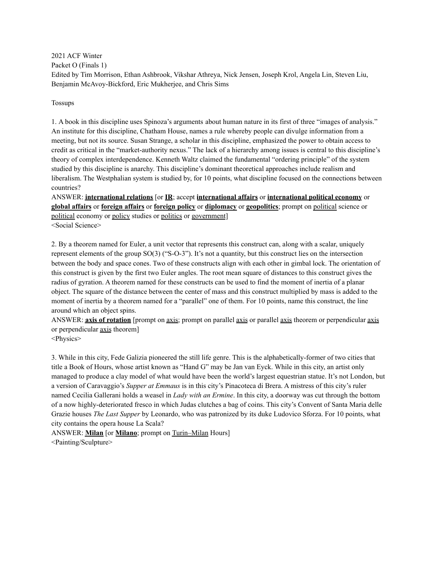2021 ACF Winter Packet O (Finals 1) Edited by Tim Morrison, Ethan Ashbrook, Vikshar Athreya, Nick Jensen, Joseph Krol, Angela Lin, Steven Liu, Benjamin McAvoy-Bickford, Eric Mukherjee, and Chris Sims

Tossups

1. A book in this discipline uses Spinoza's arguments about human nature in its first of three "images of analysis." An institute for this discipline, Chatham House, names a rule whereby people can divulge information from a meeting, but not its source. Susan Strange, a scholar in this discipline, emphasized the power to obtain access to credit as critical in the "market-authority nexus." The lack of a hierarchy among issues is central to this discipline's theory of complex interdependence. Kenneth Waltz claimed the fundamental "ordering principle" of the system studied by this discipline is anarchy. This discipline's dominant theoretical approaches include realism and liberalism. The Westphalian system is studied by, for 10 points, what discipline focused on the connections between countries?

ANSWER: **international relations** [or **IR**; accept **international affairs** or **international political economy** or **global affairs** or **foreign affairs** or **foreign policy** or **diplomacy** or **geopolitics**; prompt on political science or political economy or policy studies or politics or government] <Social Science>

2. By a theorem named for Euler, a unit vector that represents this construct can, along with a scalar, uniquely represent elements of the group SO(3) ("S-O-3"). It's not a quantity, but this construct lies on the intersection between the body and space cones. Two of these constructs align with each other in gimbal lock. The orientation of this construct is given by the first two Euler angles. The root mean square of distances to this construct gives the radius of gyration. A theorem named for these constructs can be used to find the moment of inertia of a planar object. The square of the distance between the center of mass and this construct multiplied by mass is added to the moment of inertia by a theorem named for a "parallel" one of them. For 10 points, name this construct, the line around which an object spins.

ANSWER: **axis of rotation** [prompt on axis; prompt on parallel axis or parallel axis theorem or perpendicular axis or perpendicular axis theorem]

<Physics>

3. While in this city, Fede Galizia pioneered the still life genre. This is the alphabetically-former of two cities that title a Book of Hours, whose artist known as "Hand G" may be Jan van Eyck. While in this city, an artist only managed to produce a clay model of what would have been the world's largest equestrian statue. It's not London, but a version of Caravaggio's *Supper at Emmaus* is in this city's Pinacoteca di Brera. A mistress of this city's ruler named Cecilia Gallerani holds a weasel in *Lady with an Ermine*. In this city, a doorway was cut through the bottom of a now highly-deteriorated fresco in which Judas clutches a bag of coins. This city's Convent of Santa Maria delle Grazie houses *The Last Supper* by Leonardo, who was patronized by its duke Ludovico Sforza. For 10 points, what city contains the opera house La Scala?

ANSWER: **Milan** [or **Milano**; prompt on Turin–Milan Hours] <Painting/Sculpture>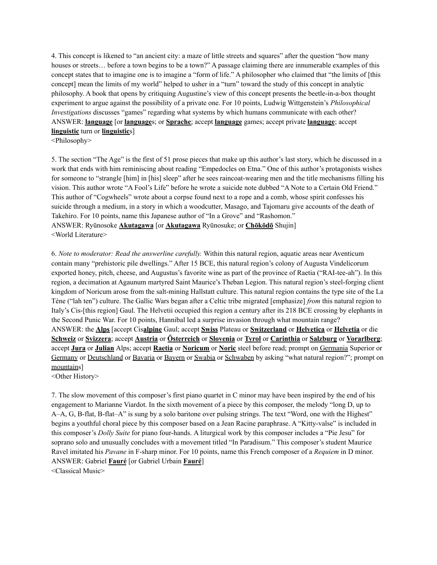4. This concept is likened to "an ancient city: a maze of little streets and squares" after the question "how many houses or streets... before a town begins to be a town?" A passage claiming there are innumerable examples of this concept states that to imagine one is to imagine a "form of life." A philosopher who claimed that "the limits of [this concept] mean the limits of my world" helped to usher in a "turn" toward the study of this concept in analytic philosophy. A book that opens by critiquing Augustine's view of this concept presents the beetle-in-a-box thought experiment to argue against the possibility of a private one. For 10 points, Ludwig Wittgenstein's *Philosophical Investigations* discusses "games" regarding what systems by which humans communicate with each other? ANSWER: **language** [or **language**s; or **Sprache**; accept **language** games; accept private **language**; accept **linguistic** turn or **linguistic**s]

<Philosophy>

5. The section "The Age" is the first of 51 prose pieces that make up this author's last story, which he discussed in a work that ends with him reminiscing about reading "Empedocles on Etna." One of this author's protagonists wishes for someone to "strangle [him] in [his] sleep" after he sees raincoat-wearing men and the title mechanisms filling his vision. This author wrote "A Fool's Life" before he wrote a suicide note dubbed "A Note to a Certain Old Friend." This author of "Cogwheels" wrote about a corpse found next to a rope and a comb, whose spirit confesses his suicide through a medium, in a story in which a woodcutter, Masago, and Tajomaru give accounts of the death of Takehiro. For 10 points, name this Japanese author of "In a Grove" and "Rashomon." ANSWER: Ryūnosoke **Akutagawa** [or **Akutagawa** Ryūnosuke; or **Chōkōdō** Shujin] <World Literature>

6. *Note to moderator: Read the answerline carefully.* Within this natural region, aquatic areas near Aventicum contain many "prehistoric pile dwellings." After 15 BCE, this natural region's colony of Augusta Vindelicorum exported honey, pitch, cheese, and Augustus's favorite wine as part of the province of Raetia ("RAI-tee-ah"). In this region, a decimation at Agaunum martyred Saint Maurice's Theban Legion. This natural region's steel-forging client kingdom of Noricum arose from the salt-mining Hallstatt culture. This natural region contains the type site of the La Tène ("lah ten") culture. The Gallic Wars began after a Celtic tribe migrated [emphasize] *from* this natural region to Italy's Cis-[this region] Gaul. The Helvetii occupied this region a century after its 218 BCE crossing by elephants in the Second Punic War. For 10 points, Hannibal led a surprise invasion through what mountain range? ANSWER: the **Alps** [accept Cis**alpine** Gaul; accept **Swiss** Plateau or **Switzerland** or **Helvetica** or **Helvetia** or die **Schweiz** or **Svizzera**; accept **Austria** or **Österreich** or **Slovenia** or **Tyrol** or **Carinthia** or **Salzburg** or **Vorarlberg**; accept **Jura** or **Julian** Alps; accept **Raetia** or **Noricum** or **Noric** steel before read; prompt on Germania Superior or Germany or Deutschland or Bavaria or Bayern or Swabia or Schwaben by asking "what natural region?"; prompt on mountains]

<Other History>

7. The slow movement of this composer's first piano quartet in C minor may have been inspired by the end of his engagement to Marianne Viardot. In the sixth movement of a piece by this composer, the melody "long D, up to A–A, G, B-flat, B-flat–A" is sung by a solo baritone over pulsing strings. The text "Word, one with the Highest" begins a youthful choral piece by this composer based on a Jean Racine paraphrase. A "Kitty-valse" is included in this composer's *Dolly Suite* for piano four-hands. A liturgical work by this composer includes a "Pie Jesu" for soprano solo and unusually concludes with a movement titled "In Paradisum." This composer's student Maurice Ravel imitated his *Pavane* in F-sharp minor. For 10 points, name this French composer of a *Requiem* in D minor. ANSWER: Gabriel **Fauré** [or Gabriel Urbain **Fauré**]

<Classical Music>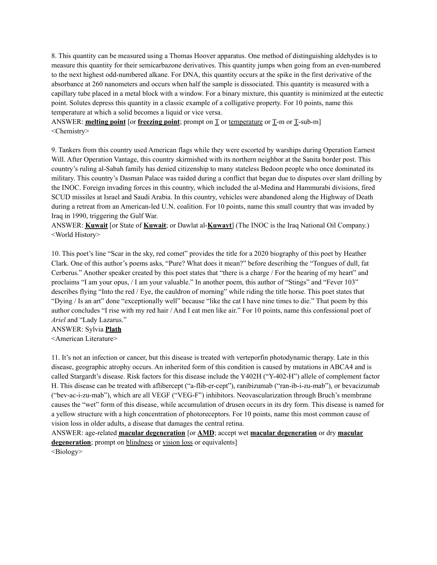8. This quantity can be measured using a Thomas Hoover apparatus. One method of distinguishing aldehydes is to measure this quantity for their semicarbazone derivatives. This quantity jumps when going from an even-numbered to the next highest odd-numbered alkane. For DNA, this quantity occurs at the spike in the first derivative of the absorbance at 260 nanometers and occurs when half the sample is dissociated. This quantity is measured with a capillary tube placed in a metal block with a window. For a binary mixture, this quantity is minimized at the eutectic point. Solutes depress this quantity in a classic example of a colligative property. For 10 points, name this temperature at which a solid becomes a liquid or vice versa.

ANSWER: **melting point** [or **freezing point**; prompt on T or temperature or T-m or T-sub-m] <Chemistry>

9. Tankers from this country used American flags while they were escorted by warships during Operation Earnest Will. After Operation Vantage, this country skirmished with its northern neighbor at the Sanita border post. This country's ruling al-Sabah family has denied citizenship to many stateless Bedoon people who once dominated its military. This country's Dasman Palace was raided during a conflict that began due to disputes over slant drilling by the INOC. Foreign invading forces in this country, which included the al-Medina and Hammurabi divisions, fired SCUD missiles at Israel and Saudi Arabia. In this country, vehicles were abandoned along the Highway of Death during a retreat from an American-led U.N. coalition. For 10 points, name this small country that was invaded by Iraq in 1990, triggering the Gulf War.

ANSWER: **Kuwait** [or State of **Kuwait**; or Dawlat al-**Kuwayt**] (The INOC is the Iraq National Oil Company.) <World History>

10. This poet's line "Scar in the sky, red comet" provides the title for a 2020 biography of this poet by Heather Clark. One of this author's poems asks, "Pure? What does it mean?" before describing the "Tongues of dull, fat Cerberus." Another speaker created by this poet states that "there is a charge / For the hearing of my heart" and proclaims "I am your opus, / I am your valuable." In another poem, this author of "Stings" and "Fever 103" describes flying "Into the red / Eye, the cauldron of morning" while riding the title horse. This poet states that "Dying / Is an art" done "exceptionally well" because "like the cat I have nine times to die." That poem by this author concludes "I rise with my red hair / And I eat men like air." For 10 points, name this confessional poet of *Ariel* and "Lady Lazarus."

ANSWER: Sylvia **Plath**

<American Literature>

11. It's not an infection or cancer, but this disease is treated with verteporfin photodynamic therapy. Late in this disease, geographic atrophy occurs. An inherited form of this condition is caused by mutations in ABCA4 and is called Stargardt's disease. Risk factors for this disease include the Y402H ("Y-402-H") allele of complement factor H. This disease can be treated with aflibercept ("a-flib-er-cept"), ranibizumab ("ran-ib-i-zu-mab"), or bevacizumab ("bev-ac-i-zu-mab"), which are all VEGF ("VEG-F") inhibitors. Neovascularization through Bruch's membrane causes the "wet" form of this disease, while accumulation of drusen occurs in its dry form. This disease is named for a yellow structure with a high concentration of photoreceptors. For 10 points, name this most common cause of vision loss in older adults, a disease that damages the central retina.

ANSWER: age-related **macular degeneration** [or **AMD**; accept wet **macular degeneration** or dry **macular degeneration**; prompt on blindness or vision loss or equivalents] <Biology>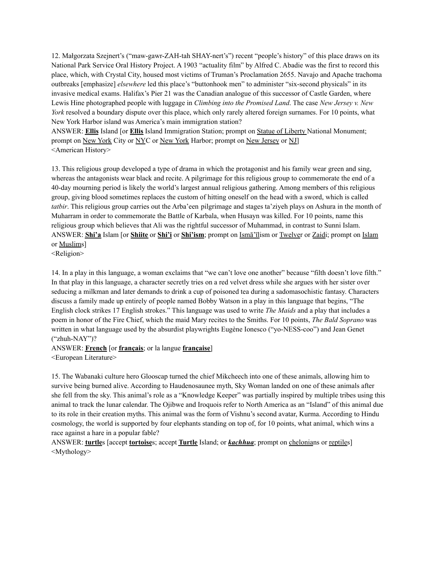12. Małgorzata Szejnert's ("maw-gawr-ZAH-tah SHAY-nert's") recent "people's history" of this place draws on its National Park Service Oral History Project. A 1903 "actuality film" by Alfred C. Abadie was the first to record this place, which, with Crystal City, housed most victims of Truman's Proclamation 2655. Navajo and Apache trachoma outbreaks [emphasize] *elsewhere* led this place's "buttonhook men" to administer "six-second physicals" in its invasive medical exams. Halifax's Pier 21 was the Canadian analogue of this successor of Castle Garden, where Lewis Hine photographed people with luggage in *Climbing into the Promised Land*. The case *New Jersey v. New York* resolved a boundary dispute over this place, which only rarely altered foreign surnames. For 10 points, what New York Harbor island was America's main immigration station?

ANSWER: **Ellis** Island [or **Ellis** Island Immigration Station; prompt on Statue of Liberty National Monument; prompt on New York City or NYC or New York Harbor; prompt on New Jersey or NJ] <American History>

13. This religious group developed a type of drama in which the protagonist and his family wear green and sing, whereas the antagonists wear black and recite. A pilgrimage for this religious group to commemorate the end of a 40-day mourning period is likely the world's largest annual religious gathering. Among members of this religious group, giving blood sometimes replaces the custom of hitting oneself on the head with a sword, which is called *tatbir*. This religious group carries out the Arba'een pilgrimage and stages ta'ziyeh plays on Ashura in the month of Muharram in order to commemorate the Battle of Karbala, when Husayn was killed. For 10 points, name this religious group which believes that Ali was the rightful successor of Muhammad, in contrast to Sunni Islam. ANSWER: **Shi'a** Islam [or **Shiite** or **Shi'i** or **Shi'ism**; prompt on Ismā'īlism or Twelver or Zaidi; prompt on Islam or Muslims]

<Religion>

14. In a play in this language, a woman exclaims that "we can't love one another" because "filth doesn't love filth." In that play in this language, a character secretly tries on a red velvet dress while she argues with her sister over seducing a milkman and later demands to drink a cup of poisoned tea during a sadomasochistic fantasy. Characters discuss a family made up entirely of people named Bobby Watson in a play in this language that begins, "The English clock strikes 17 English strokes." This language was used to write *The Maids* and a play that includes a poem in honor of the Fire Chief, which the maid Mary recites to the Smiths. For 10 points, *The Bald Soprano* was written in what language used by the absurdist playwrights Eugène Ionesco ("yo-NESS-coo") and Jean Genet ("zhuh-NAY")?

## ANSWER: **French** [or **français**; or la langue **française**]

<European Literature>

15. The Wabanaki culture hero Glooscap turned the chief Mikcheech into one of these animals, allowing him to survive being burned alive. According to Haudenosaunee myth, Sky Woman landed on one of these animals after she fell from the sky. This animal's role as a "Knowledge Keeper" was partially inspired by multiple tribes using this animal to track the lunar calendar. The Ojibwe and Iroquois refer to North America as an "Island" of this animal due to its role in their creation myths. This animal was the form of Vishnu's second avatar, Kurma. According to Hindu cosmology, the world is supported by four elephants standing on top of, for 10 points, what animal, which wins a race against a hare in a popular fable?

ANSWER: **turtle**s [accept **tortoise**s; accept **Turtle** Island; or *kachhua*; prompt on chelonians or reptiles] <Mythology>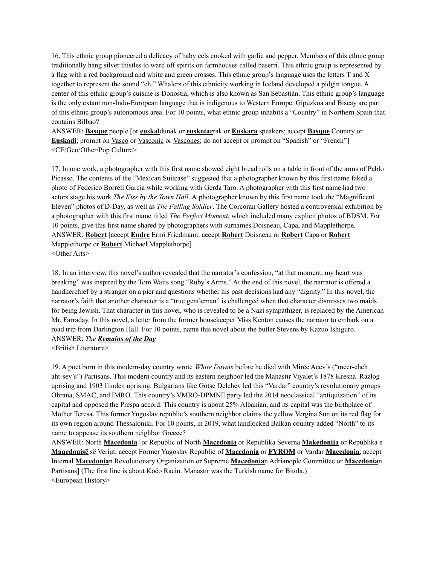16. This ethnic group pioneered a delicacy of baby eels cooked with garlic and pepper. Members of this ethnic group traditionally hang silver thistles to ward off spirits on farmhouses called baserri. This ethnic group is represented by a flag with a red background and white and green crosses. This ethnic group's language uses the letters T and X together to represent the sound "ch." Whalers of this ethnicity working in Iceland developed a pidgin tongue. A center of this ethnic group's cuisine is Donostia, which is also known as San Sebastián. This ethnic group's language is the only extant non-Indo-European language that is indigenous to Western Europe. Gipuzkoa and Biscay are part of this ethnic group's autonomous area. For 10 points, what ethnic group inhabits a "Country" in Northern Spain that contains Bilbao?

ANSWER: **Basque** people [or **euskal**dunak or **euskotar**rak or **Euskara** speakers; accept **Basque** Country or **Euskadi**; prompt on <u>Vasco</u> or <u>Vasconic</u> or <u>Vascones</u>; do not accept or prompt on "Spanish" or "French"] <CE/Geo/Other/Pop Culture>

17. In one work, a photographer with this first name showed eight bread rolls on a table in front of the arms of Pablo Picasso. The contents of the "Mexican Suitcase" suggested that a photographer known by this first name faked a photo of Federico Borrell García while working with Gerda Taro. A photographer with this first name had two actors stage his work *The Kiss by the Town Hall*. A photographer known by this first name took the "Magnificent Eleven" photos of D-Day, as well as *The Falling Soldier*. The Corcoran Gallery hosted a controversial exhibition by a photographer with this first name titled *The Perfect Moment*, which included many explicit photos of BDSM. For 10 points, give this first name shared by photographers with surnames Doisneau, Capa, and Mapplethorpe. ANSWER: **Robert** [accept **Endre** Ernő Friedmann; accept **Robert** Doisneau or **Robert** Capa or **Robert** Mapplethorpe or **Robert** Michael Mapplethorpe] <Other Arts>

18. In an interview, this novel's author revealed that the narrator's confession, "at that moment, my heart was breaking" was inspired by the Tom Waits song "Ruby's Arms." At the end of this novel, the narrator is offered a handkerchief by a stranger on a pier and questions whether his past decisions had any "dignity." In this novel, the narrator's faith that another character is a "true gentleman" is challenged when that character dismisses two maids for being Jewish. That character in this novel, who is revealed to be a Nazi sympathizer, is replaced by the American Mr. Farraday. In this novel, a letter from the former housekeeper Miss Kenton causes the narrator to embark on a road trip from Darlington Hall. For 10 points, name this novel about the butler Stevens by Kazuo Ishiguro. ANSWER: *The Remains of the Day*

<British Literature>

19. A poet born in this modern-day country wrote *White Dawns* before he died with Mirče Acev's ("meer-cheh aht-sev's") Partisans. This modern country and its eastern neighbor led the Manastır Viyalet's 1878 Kresna–Razlog uprising and 1903 Ilinden uprising. Bulgarians like Gotse Delchev led this "Vardar" country's revolutionary groups Ohrana, SMAC, and IMRO. This country's VMRO-DPMNE party led the 2014 neoclassical "antiquization" of its capital and opposed the Prespa accord. This country is about 25% Albanian, and its capital was the birthplace of Mother Teresa. This former Yugoslav republic's southern neighbor claims the yellow Vergina Sun on its red flag for its own region around Thessaloniki. For 10 points, in 2019, what landlocked Balkan country added "North" to its name to appease its southern neighbor Greece?

ANSWER: North **Macedonia** [or Republic of North **Macedonia** or Republika Severna **Makedonija** or Republika e **Maqedonisë** së Veriut; accept Former Yugoslav Republic of **Macedonia** or **FYROM** or Vardar **Macedonia**; accept Internal **Macedonia**n Revolutionary Organization or Supreme **Macedonia**n Adrianople Committee or **Macedonia**n Partisans] (The first line is about Kočo Racin. Manastır was the Turkish name for Bitola.) <European History>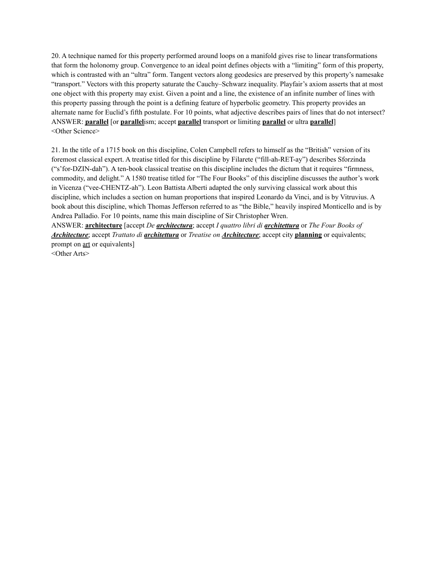20. A technique named for this property performed around loops on a manifold gives rise to linear transformations that form the holonomy group. Convergence to an ideal point defines objects with a "limiting" form of this property, which is contrasted with an "ultra" form. Tangent vectors along geodesics are preserved by this property's namesake "transport." Vectors with this property saturate the Cauchy–Schwarz inequality. Playfair's axiom asserts that at most one object with this property may exist. Given a point and a line, the existence of an infinite number of lines with this property passing through the point is a defining feature of hyperbolic geometry. This property provides an alternate name for Euclid's fifth postulate. For 10 points, what adjective describes pairs of lines that do not intersect? ANSWER: **parallel** [or **parallel**ism; accept **parallel** transport or limiting **parallel** or ultra **parallel**] <Other Science>

21. In the title of a 1715 book on this discipline, Colen Campbell refers to himself as the "British" version of its foremost classical expert. A treatise titled for this discipline by Filarete ("fill-ah-RET-ay") describes Sforzinda ("s'for-DZIN-dah"). A ten-book classical treatise on this discipline includes the dictum that it requires "firmness, commodity, and delight." A 1580 treatise titled for "The Four Books" of this discipline discusses the author's work in Vicenza ("vee-CHENTZ-ah"). Leon Battista Alberti adapted the only surviving classical work about this discipline, which includes a section on human proportions that inspired Leonardo da Vinci, and is by Vitruvius. A book about this discipline, which Thomas Jefferson referred to as "the Bible," heavily inspired Monticello and is by Andrea Palladio. For 10 points, name this main discipline of Sir Christopher Wren.

ANSWER: **architecture** [accept *De architectura*; accept *I quattro libri di architettura* or *The Four Books of Architecture*; accept *Trattato di architettura* or *Treatise on Architecture*; accept city **planning** or equivalents; prompt on art or equivalents]

<Other Arts>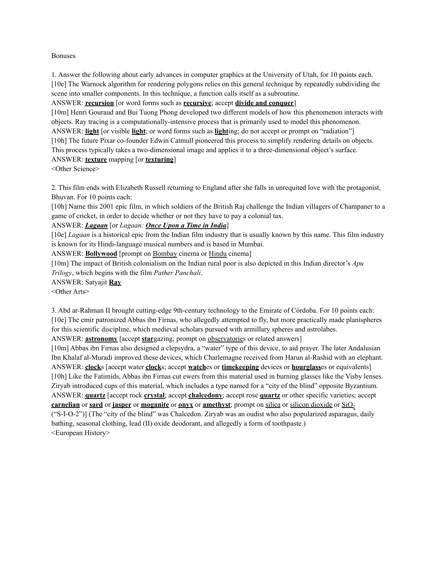#### Bonuses

1. Answer the following about early advances in computer graphics at the University of Utah, for 10 points each. [10e] The Warnock algorithm for rendering polygons relies on this general technique by repeatedly subdividing the scene into smaller components. In this technique, a function calls itself as a subroutine.

#### ANSWER: **recursion** [or word forms such as **recursive**; accept **divide and conquer**]

[10m] Henri Gouraud and Bui Tuong Phong developed two different models of how this phenomenon interacts with objects. Ray tracing is a computationally-intensive process that is primarily used to model this phenomenon. ANSWER: **light** [or visible **light**; or word forms such as **light**ing; do not accept or prompt on "radiation"] [10h] The future Pixar co-founder Edwin Catmull pioneered this process to simplify rendering details on objects. This process typically takes a two-dimensional image and applies it to a three-dimensional object's surface. ANSWER: **texture** mapping [or **texturing**]

<Other Science>

2. This film ends with Elizabeth Russell returning to England after she falls in unrequited love with the protagonist, Bhuvan. For 10 points each:

[10h] Name this 2001 epic film, in which soldiers of the British Raj challenge the Indian villagers of Champaner to a game of cricket, in order to decide whether or not they have to pay a colonial tax.

#### ANSWER: *Lagaan* [or *Lagaan: Once Upon a Time in India*]

[10e] *Lagaan* is a historical epic from the Indian film industry that is usually known by this name. This film industry is known for its Hindi-language musical numbers and is based in Mumbai.

ANSWER: **Bollywood** [prompt on Bombay cinema or Hindu cinema]

[10m] The impact of British colonialism on the Indian rural poor is also depicted in this Indian director's *Apu Trilogy*, which begins with the film *Pather Panchali*.

ANSWER: Satyajit **Ray**

<Other Arts>

3. Abd ar-Rahman II brought cutting-edge 9th-century technology to the Emirate of Córdoba. For 10 points each: [10e] The emir patronized Abbas ibn Firnas, who allegedly attempted to fly, but more practically made planispheres for this scientific discipline, which medieval scholars pursued with armillary spheres and astrolabes. ANSWER: **astronomy** [accept **star**gazing; prompt on observatories or related answers]

[10m] Abbas ibn Firnas also designed a clepsydra, a "water" type of this device, to aid prayer. The later Andalusian Ibn Khalaf al-Muradi improved these devices, which Charlemagne received from Harun al-Rashid with an elephant. ANSWER: **clock**s [accept water **clock**s; accept **watch**es or **timekeeping** devices or **hourglass**es or equivalents] [10h] Like the Fatimids, Abbas ibn Firnas cut ewers from this material used in burning glasses like the Visby lenses. Ziryab introduced cups of this material, which includes a type named for a "city of the blind" opposite Byzantium. ANSWER: **quartz** [accept rock **crystal**; accept **chalcedony**; accept rose **quartz** or other specific varieties; accept **carnelian** or **sard** or **jasper** or **moganite** or **onyx** or **amethyst**; prompt on silica or silicon dioxide or SiO<sub>2</sub> ("S-I-O-2")] (The "city of the blind" was Chalcedon. Ziryab was an oudist who also popularized asparagus, daily bathing, seasonal clothing, lead (II) oxide deodorant, and allegedly a form of toothpaste.) <European History>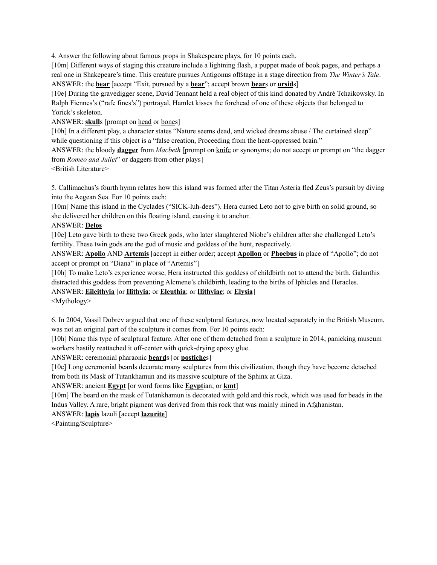4. Answer the following about famous props in Shakespeare plays, for 10 points each.

[10m] Different ways of staging this creature include a lightning flash, a puppet made of book pages, and perhaps a real one in Shakepeare's time. This creature pursues Antigonus offstage in a stage direction from *The Winter's Tale*. ANSWER: the **bear** [accept "Exit, pursued by a **bear**"; accept brown **bear**s or **ursid**s]

[10e] During the gravedigger scene, David Tennant held a real object of this kind donated by André Tchaikowsky. In Ralph Fiennes's ("rafe fines's") portrayal, Hamlet kisses the forehead of one of these objects that belonged to Yorick's skeleton.

ANSWER: **skull**s [prompt on head or bones]

[10h] In a different play, a character states "Nature seems dead, and wicked dreams abuse / The curtained sleep" while questioning if this object is a "false creation, Proceeding from the heat-oppressed brain."

ANSWER: the bloody **dagger** from *Macbeth* [prompt on knife or synonyms; do not accept or prompt on "the dagger from *Romeo and Juliet*" or daggers from other plays]

<British Literature>

5. Callimachus's fourth hymn relates how this island was formed after the Titan Asteria fled Zeus's pursuit by diving into the Aegean Sea. For 10 points each:

[10m] Name this island in the Cyclades ("SICK-luh-dees"). Hera cursed Leto not to give birth on solid ground, so she delivered her children on this floating island, causing it to anchor.

#### ANSWER: **Delos**

[10e] Leto gave birth to these two Greek gods, who later slaughtered Niobe's children after she challenged Leto's fertility. These twin gods are the god of music and goddess of the hunt, respectively.

ANSWER: **Apollo** AND **Artemis** [accept in either order; accept **Apollon** or **Phoebus** in place of "Apollo"; do not accept or prompt on "Diana" in place of "Artemis"]

[10h] To make Leto's experience worse, Hera instructed this goddess of childbirth not to attend the birth. Galanthis distracted this goddess from preventing Alcmene's childbirth, leading to the births of Iphicles and Heracles.

ANSWER: **Eileithyia** [or **Ilithyia**; or **Eleuthia**; or **Ilithyiae**; or **Elysia**]

<Mythology>

6. In 2004, Vassil Dobrev argued that one of these sculptural features, now located separately in the British Museum, was not an original part of the sculpture it comes from. For 10 points each:

[10h] Name this type of sculptural feature. After one of them detached from a sculpture in 2014, panicking museum workers hastily reattached it off-center with quick-drying epoxy glue.

ANSWER: ceremonial pharaonic **beard**s [or **postiche**s]

[10e] Long ceremonial beards decorate many sculptures from this civilization, though they have become detached from both its Mask of Tutankhamun and its massive sculpture of the Sphinx at Giza.

## ANSWER: ancient **Egypt** [or word forms like **Egypt**ian; or **kmt**]

[10m] The beard on the mask of Tutankhamun is decorated with gold and this rock, which was used for beads in the Indus Valley. A rare, bright pigment was derived from this rock that was mainly mined in Afghanistan.

ANSWER: **lapis** lazuli [accept **lazurite**]

<Painting/Sculpture>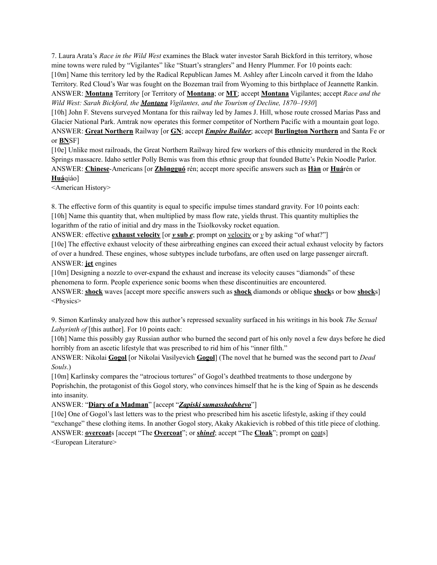7. Laura Arata's *Race in the Wild West* examines the Black water investor Sarah Bickford in this territory, whose mine towns were ruled by "Vigilantes" like "Stuart's stranglers" and Henry Plummer. For 10 points each: [10m] Name this territory led by the Radical Republican James M. Ashley after Lincoln carved it from the Idaho Territory. Red Cloud's War was fought on the Bozeman trail from Wyoming to this birthplace of Jeannette Rankin. ANSWER: **Montana** Territory [or Territory of **Montana**; or **MT**; accept **Montana** Vigilantes; accept *Race and the Wild West: Sarah Bickford, the Montana Vigilantes, and the Tourism of Decline, 1870–1930*]

[10h] John F. Stevens surveyed Montana for this railway led by James J. Hill, whose route crossed Marias Pass and Glacier National Park. Amtrak now operates this former competitor of Northern Pacific with a mountain goat logo. ANSWER: **Great Northern** Railway [or **GN**; accept *Empire Builder*; accept **Burlington Northern** and Santa Fe or or **BN**SF]

[10e] Unlike most railroads, the Great Northern Railway hired few workers of this ethnicity murdered in the Rock Springs massacre. Idaho settler Polly Bemis was from this ethnic group that founded Butte's Pekin Noodle Parlor. ANSWER: **Chinese**-Americans [or **Zhōngguó** rén; accept more specific answers such as **Hàn** or **Huá**rén or **Huá**qiáo]

<American History>

8. The effective form of this quantity is equal to specific impulse times standard gravity. For 10 points each: [10h] Name this quantity that, when multiplied by mass flow rate, yields thrust. This quantity multiplies the logarithm of the ratio of initial and dry mass in the Tsiolkovsky rocket equation.

ANSWER: effective **exhaust velocity** [or  $y$  **sub**  $\mathbf{e}$ ; prompt on <u>velocity</u> or  $y$  by asking "of what?"]

[10e] The effective exhaust velocity of these airbreathing engines can exceed their actual exhaust velocity by factors of over a hundred. These engines, whose subtypes include turbofans, are often used on large passenger aircraft. ANSWER: **jet** engines

[10m] Designing a nozzle to over-expand the exhaust and increase its velocity causes "diamonds" of these phenomena to form. People experience sonic booms when these discontinuities are encountered.

ANSWER: **shock** waves [accept more specific answers such as **shock** diamonds or oblique **shock**s or bow **shock**s] <Physics>

9. Simon Karlinsky analyzed how this author's repressed sexuality surfaced in his writings in his book *The Sexual Labyrinth of* [this author]. For 10 points each:

[10h] Name this possibly gay Russian author who burned the second part of his only novel a few days before he died horribly from an ascetic lifestyle that was prescribed to rid him of his "inner filth."

ANSWER: Nikolai **Gogol** [or Nikolai Vasilyevich **Gogol**] (The novel that he burned was the second part to *Dead Souls*.)

[10m] Karlinsky compares the "atrocious tortures" of Gogol's deathbed treatments to those undergone by Poprishchin, the protagonist of this Gogol story, who convinces himself that he is the king of Spain as he descends into insanity.

## ANSWER: "**Diary of a Madman**" [accept "*Zapiski sumasshedshevo*"]

[10e] One of Gogol's last letters was to the priest who prescribed him his ascetic lifestyle, asking if they could "exchange" these clothing items. In another Gogol story, Akaky Akakievich is robbed of this title piece of clothing. ANSWER: **overcoat**s [accept "The **Overcoat**"; or *shinel*; accept "The **Cloak**"; prompt on coats] <European Literature>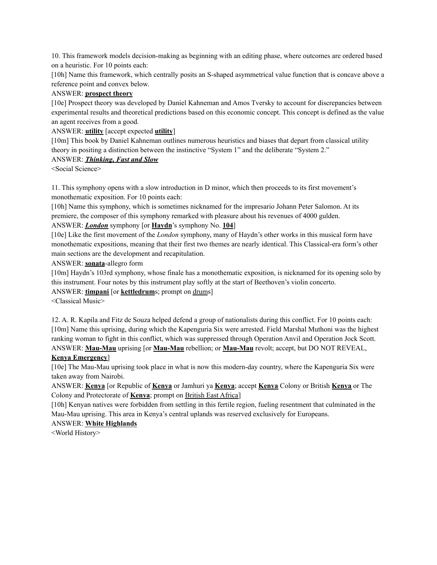10. This framework models decision-making as beginning with an editing phase, where outcomes are ordered based on a heuristic. For 10 points each:

[10h] Name this framework, which centrally posits an S-shaped asymmetrical value function that is concave above a reference point and convex below.

### ANSWER: **prospect theory**

[10e] Prospect theory was developed by Daniel Kahneman and Amos Tversky to account for discrepancies between experimental results and theoretical predictions based on this economic concept. This concept is defined as the value an agent receives from a good.

### ANSWER: **utility** [accept expected **utility**]

[10m] This book by Daniel Kahneman outlines numerous heuristics and biases that depart from classical utility theory in positing a distinction between the instinctive "System 1" and the deliberate "System 2."

#### ANSWER: *Thinking, Fast and Slow*

<Social Science>

11. This symphony opens with a slow introduction in D minor, which then proceeds to its first movement's monothematic exposition. For 10 points each:

[10h] Name this symphony, which is sometimes nicknamed for the impresario Johann Peter Salomon. At its premiere, the composer of this symphony remarked with pleasure about his revenues of 4000 gulden.

# ANSWER: *London* symphony [or **Haydn**'s symphony No. **104**]

[10e] Like the first movement of the *London* symphony, many of Haydn's other works in this musical form have monothematic expositions, meaning that their first two themes are nearly identical. This Classical-era form's other main sections are the development and recapitulation.

ANSWER: **sonata**-allegro form

[10m] Haydn's 103rd symphony, whose finale has a monothematic exposition, is nicknamed for its opening solo by this instrument. Four notes by this instrument play softly at the start of Beethoven's violin concerto.

ANSWER: **timpani** [or **kettledrum**s; prompt on drums]

<Classical Music>

12. A. R. Kapila and Fitz de Souza helped defend a group of nationalists during this conflict. For 10 points each: [10m] Name this uprising, during which the Kapenguria Six were arrested. Field Marshal Muthoni was the highest ranking woman to fight in this conflict, which was suppressed through Operation Anvil and Operation Jock Scott. ANSWER: **Mau-Mau** uprising [or **Mau-Mau** rebellion; or **Mau-Mau** revolt; accept, but DO NOT REVEAL,

#### **Kenya Emergency**]

[10e] The Mau-Mau uprising took place in what is now this modern-day country, where the Kapenguria Six were taken away from Nairobi.

ANSWER: **Kenya** [or Republic of **Kenya** or Jamhuri ya **Kenya**; accept **Kenya** Colony or British **Kenya** or The Colony and Protectorate of **Kenya**; prompt on British East Africa]

[10h] Kenyan natives were forbidden from settling in this fertile region, fueling resentment that culminated in the Mau-Mau uprising. This area in Kenya's central uplands was reserved exclusively for Europeans.

## ANSWER: **White Highlands**

<World History>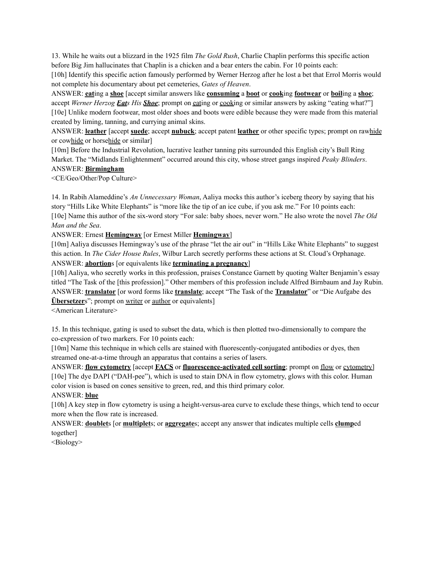13. While he waits out a blizzard in the 1925 film *The Gold Rush*, Charlie Chaplin performs this specific action before Big Jim hallucinates that Chaplin is a chicken and a bear enters the cabin. For 10 points each:

[10h] Identify this specific action famously performed by Werner Herzog after he lost a bet that Errol Morris would not complete his documentary about pet cemeteries, *Gates of Heaven*.

ANSWER: **eat**ing a **shoe** [accept similar answers like **consuming** a **boot** or **cook**ing **footwear** or **boil**ing a **shoe**; accept *Werner Herzog Eats His Shoe*; prompt on eating or cooking or similar answers by asking "eating what?"] [10e] Unlike modern footwear, most older shoes and boots were edible because they were made from this material created by liming, tanning, and currying animal skins.

ANSWER: **leather** [accept **suede**; accept **nubuck**; accept patent **leather** or other specific types; prompt on rawhide or cowhide or horsehide or similar]

[10m] Before the Industrial Revolution, lucrative leather tanning pits surrounded this English city's Bull Ring Market. The "Midlands Enlightenment" occurred around this city, whose street gangs inspired *Peaky Blinders*.

#### ANSWER: **Birmingham**

<CE/Geo/Other/Pop Culture>

14. In Rabih Alameddine's *An Unnecessary Woman*, Aaliya mocks this author's iceberg theory by saying that his story "Hills Like White Elephants" is "more like the tip of an ice cube, if you ask me." For 10 points each: [10e] Name this author of the six-word story "For sale: baby shoes, never worn." He also wrote the novel *The Old Man and the Sea*.

ANSWER: Ernest **Hemingway** [or Ernest Miller **Hemingway**]

[10m] Aaliya discusses Hemingway's use of the phrase "let the air out" in "Hills Like White Elephants" to suggest this action. In *The Cider House Rules*, Wilbur Larch secretly performs these actions at St. Cloud's Orphanage. ANSWER: **abortion**s [or equivalents like **terminating a pregnancy**]

[10h] Aaliya, who secretly works in this profession, praises Constance Garnett by quoting Walter Benjamin's essay titled "The Task of the [this profession]." Other members of this profession include Alfred Birnbaum and Jay Rubin. ANSWER: **translator** [or word forms like **translate**; accept "The Task of the **Translator**" or "Die Aufgabe des **Übersetzers**"; prompt on writer or author or equivalents]

<American Literature>

15. In this technique, gating is used to subset the data, which is then plotted two-dimensionally to compare the co-expression of two markers. For 10 points each:

[10m] Name this technique in which cells are stained with fluorescently-conjugated antibodies or dyes, then streamed one-at-a-time through an apparatus that contains a series of lasers.

ANSWER: **flow cytometry** [accept **FACS** or **fluorescence-activated cell sorting**; prompt on flow or cytometry] [10e] The dye DAPI ("DAH-pee"), which is used to stain DNA in flow cytometry, glows with this color. Human color vision is based on cones sensitive to green, red, and this third primary color.

ANSWER: **blue**

[10h] A key step in flow cytometry is using a height-versus-area curve to exclude these things, which tend to occur more when the flow rate is increased.

ANSWER: **doublet**s [or **multiplet**s; or **aggregate**s; accept any answer that indicates multiple cells **clump**ed together]

<Biology>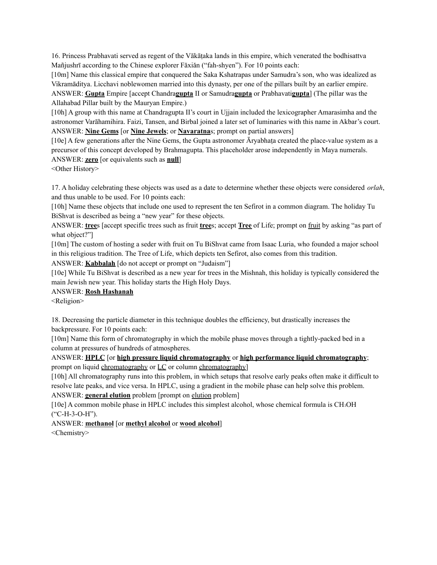16. Princess Prabhavati served as regent of the Vākāṭaka lands in this empire, which venerated the bodhisattva Mañjushrī according to the Chinese explorer Fǎxiǎn ("fah-shyen"). For 10 points each:

[10m] Name this classical empire that conquered the Saka Kshatrapas under Samudra's son, who was idealized as Vikramāditya. Licchavi noblewomen married into this dynasty, per one of the pillars built by an earlier empire. ANSWER: **Gupta** Empire [accept Chandra**gupta** II or Samudra**gupta** or Prabhavati**gupta**] (The pillar was the Allahabad Pillar built by the Mauryan Empire.)

[10h] A group with this name at Chandragupta II's court in Ujjain included the lexicographer Amarasimha and the astronomer Varāhamihira. Faizi, Tansen, and Birbal joined a later set of luminaries with this name in Akbar's court. ANSWER: **Nine Gems** [or **Nine Jewels**; or **Navaratna**s; prompt on partial answers]

[10e] A few generations after the Nine Gems, the Gupta astronomer Āryabhaṭa created the place-value system as a precursor of this concept developed by Brahmagupta. This placeholder arose independently in Maya numerals. ANSWER: **zero** [or equivalents such as **null**]

<Other History>

17. A holiday celebrating these objects was used as a date to determine whether these objects were considered *orlah*, and thus unable to be used. For 10 points each:

[10h] Name these objects that include one used to represent the ten Sefirot in a common diagram. The holiday Tu BiShvat is described as being a "new year" for these objects.

ANSWER: **tree**s [accept specific trees such as fruit **tree**s; accept **Tree** of Life; prompt on fruit by asking "as part of what object?"]

[10m] The custom of hosting a seder with fruit on Tu BiShvat came from Isaac Luria, who founded a major school in this religious tradition. The Tree of Life, which depicts ten Sefirot, also comes from this tradition.

ANSWER: **Kabbalah** [do not accept or prompt on "Judaism"]

[10e] While Tu BiShvat is described as a new year for trees in the Mishnah, this holiday is typically considered the main Jewish new year. This holiday starts the High Holy Days.

## ANSWER: **Rosh Hashanah**

<Religion>

18. Decreasing the particle diameter in this technique doubles the efficiency, but drastically increases the backpressure. For 10 points each:

[10m] Name this form of chromatography in which the mobile phase moves through a tightly-packed bed in a column at pressures of hundreds of atmospheres.

ANSWER: **HPLC** [or **high pressure liquid chromatography** or **high performance liquid chromatography**; prompt on liquid chromatography or LC or column chromatography]

[10h] All chromatography runs into this problem, in which setups that resolve early peaks often make it difficult to resolve late peaks, and vice versa. In HPLC, using a gradient in the mobile phase can help solve this problem. ANSWER: **general elution** problem [prompt on elution problem]

[10e] A common mobile phase in HPLC includes this simplest alcohol, whose chemical formula is CH<sup>3</sup>OH ("C-H-3-O-H").

ANSWER: **methanol** [or **methyl alcohol** or **wood alcohol**] <Chemistry>